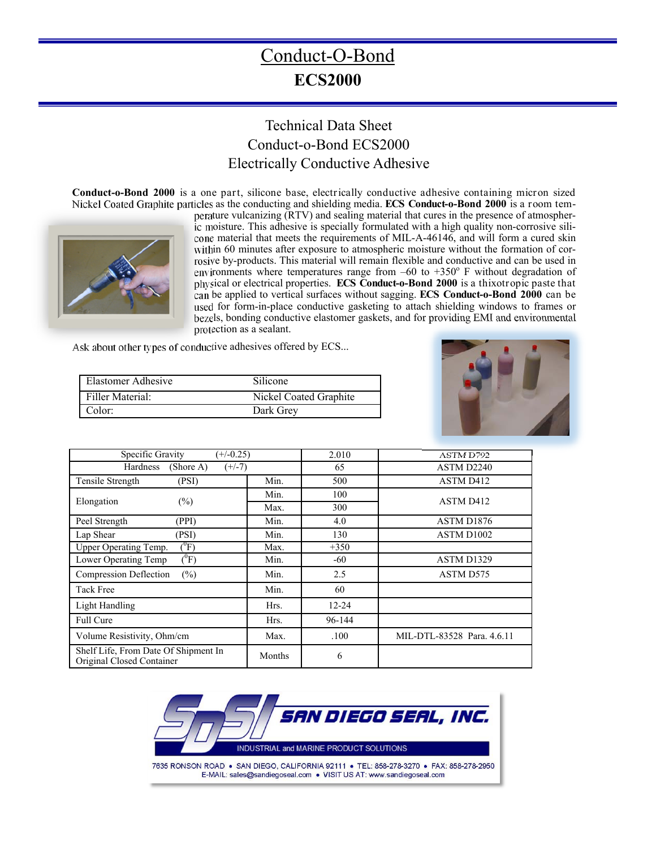## Conduct-O-Bond **ECS2000**

## Technical Data Sheet Conduct-o-Bond ECS2000 Electrically Conductive Adhesive

**Conduct-o-Bond 2000** is a one part, silicone base, electrically conductive adhesive containing micron sized Nickel Coated Graphite particles as the conducting and shielding media. **ECS Conduct-o-Bond 2000** is a room tem-



perature vulcanizing (RTV) and sealing material that cures in the presence of atmospheric moisture. This adhesive is specially formulated with a high quality non-corrosive silicone material that meets the requirements of MIL-A-46146, and will form a cured skin within 60 minutes after exposure to atmospheric moisture without the formation of corrosive by-products. This material will remain flexible and conductive and can be used in environments where temperatures range from  $-60$  to  $+350^{\circ}$  F without degradation of physical or electrical properties. **ECS Conduct-o-Bond 2000** is a thixotropic paste that can be applied to vertical surfaces without sagging. **ECS Conduct-o-Bond 2000** can be used for form-in-place conductive gasketing to attach shielding windows to frames or bezels, bonding conductive elastomer gaskets, and for providing EMI and environmental protection as a sealant.

Ask about other types of conductive adhesives offered by ECS...

| <b>Elastomer Adhesive</b> | Silicone               |
|---------------------------|------------------------|
| Filler Material:          | Nickel Coated Graphite |
| Color:                    | Dark Grey              |



| Specific Gravity<br>$(+/-0.25)$                                   |        | 2.010     | ASTM D792                  |
|-------------------------------------------------------------------|--------|-----------|----------------------------|
| Hardness<br>(Shore A)<br>$(+/-7)$                                 |        | 65        | ASTM D2240                 |
| Tensile Strength<br>(PSI)                                         | Min.   | 500       | ASTM D412                  |
| $(\%)$<br>Elongation                                              | Min.   | 100       | ASTM D412                  |
|                                                                   | Max.   | 300       |                            |
| Peel Strength<br>(PPI)                                            | Min.   | 4.0       | ASTM D <sub>1876</sub>     |
| Lap Shear<br>(PSI)                                                | Min.   | 130       | ASTM D1002                 |
| $(^0F)$<br>Upper Operating Temp.                                  | Max.   | $+350$    |                            |
| $(^0F)$<br>Lower Operating Temp                                   | Min.   | $-60$     | ASTM D1329                 |
| <b>Compression Deflection</b><br>$(\%)$                           | Min.   | 2.5       | ASTM D575                  |
| Tack Free                                                         | Min.   | 60        |                            |
| Light Handling                                                    | Hrs.   | $12 - 24$ |                            |
| <b>Full Cure</b>                                                  | Hrs.   | 96-144    |                            |
| Volume Resistivity, Ohm/cm                                        | Max.   | .100      | MIL-DTL-83528 Para, 4.6.11 |
| Shelf Life, From Date Of Shipment In<br>Original Closed Container | Months | 6         |                            |



7635 RONSON ROAD . SAN DIEGO, CALIFORNIA 92111 . TEL: 858-278-3270 . FAX: 858-278-2950 E-MAIL: sales@sandiegoseal.com . VISIT US AT: www.sandiegoseal.com